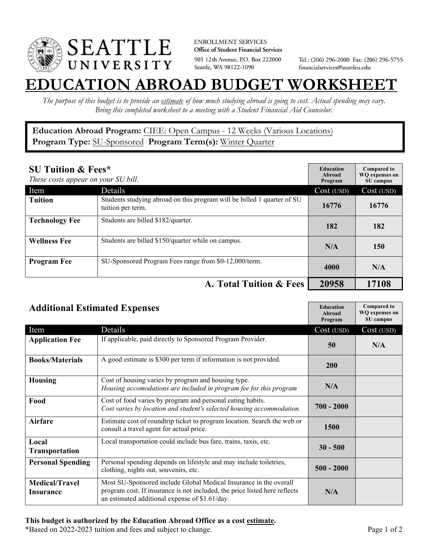

**ENROLLMENT SERVICES** Office of Student Financial Services 901 12th Avenue, P.O. Box 222000 Seattle, WA 98122-1090

Tel.: (206) 296-2000 Fax: (206) 296-5755 financialservices@seattleu.edu

## **EATION ABROAD BUDGET WORKSHEE**

*The purpose of this budget is to provide an estimate of how much studying abroad is going to cost. Actual spending may vary. Bring this completed worksheet to a meeting with a Student Financial Aid Counselor.* 

## **Education Abroad Program:** CIEE: Open Campus - 12 Weeks (Various Locations) **Program Type:** SU-Sponsored **Program Term(s):** Winter Quarter

| <b>SU Tuition &amp; Fees*</b><br>These costs appear on your SU bill. |                                                                                              | <b>Education</b><br>Abroad<br>Program | <b>Compared to</b><br><b>WO</b> expenses on<br>SU campus |
|----------------------------------------------------------------------|----------------------------------------------------------------------------------------------|---------------------------------------|----------------------------------------------------------|
| Item                                                                 | <b>Details</b>                                                                               | Cost (USD)                            | Cost (USD)                                               |
| <b>Tuition</b>                                                       | Students studying abroad on this program will be billed 1 quarter of SU<br>tuition per term. | 16776                                 | 16776                                                    |
| <b>Technology Fee</b>                                                | Students are billed \$182/quarter.                                                           | 182                                   | 182                                                      |
| <b>Wellness Fee</b>                                                  | Students are billed \$150/quarter while on campus.                                           | N/A                                   | 150                                                      |
| <b>Program Fee</b>                                                   | SU-Sponsored Program Fees range from \$0-12,000/term.                                        | 4000                                  | N/A                                                      |
|                                                                      | A. Total Tuition & Fees                                                                      | 20958                                 | 17108                                                    |

| <b>Additional Estimated Expenses</b> |                                                                                                                                                                                                   | <b>Education</b><br>Abroad<br>Program | <b>Compared to</b><br><b>WQ</b> expenses on<br>SU campus |
|--------------------------------------|---------------------------------------------------------------------------------------------------------------------------------------------------------------------------------------------------|---------------------------------------|----------------------------------------------------------|
| Item                                 | Details                                                                                                                                                                                           | Cost (USD)                            | Cost (USD)                                               |
| <b>Application Fee</b>               | If applicable, paid directly to Sponsored Program Provider.                                                                                                                                       | 50                                    | N/A                                                      |
| <b>Books/Materials</b>               | A good estimate is \$300 per term if information is not provided.                                                                                                                                 | 200                                   |                                                          |
| <b>Housing</b>                       | Cost of housing varies by program and housing type.<br>Housing accomodations are included in program fee for this program                                                                         | N/A                                   |                                                          |
| Food                                 | Cost of food varies by program and personal eating habits.<br>Cost varies by location and student's selected housing accommodation.                                                               | $700 - 2000$                          |                                                          |
| <b>Airfare</b>                       | Estimate cost of roundtrip ticket to program location. Search the web or<br>consult a travel agent for actual price.                                                                              | <b>1500</b>                           |                                                          |
| Local<br>Transportation              | Local transportation could include bus fare, trains, taxis, etc.                                                                                                                                  | $30 - 500$                            |                                                          |
| <b>Personal Spending</b>             | Personal spending depends on lifestyle and may include toiletries,<br>clothing, nights out, souvenirs, etc.                                                                                       | $500 - 2000$                          |                                                          |
| <b>Medical/Travel</b><br>Insurance   | Most SU-Sponsored include Global Medical Insurance in the overall<br>program cost. If insurance is not included, the price listed here reflects<br>an estimated additional expense of \$1.61/day. | N/A                                   |                                                          |

\*Based on 2022-2023 tuition and fees and subject to change. Page 1 of 2